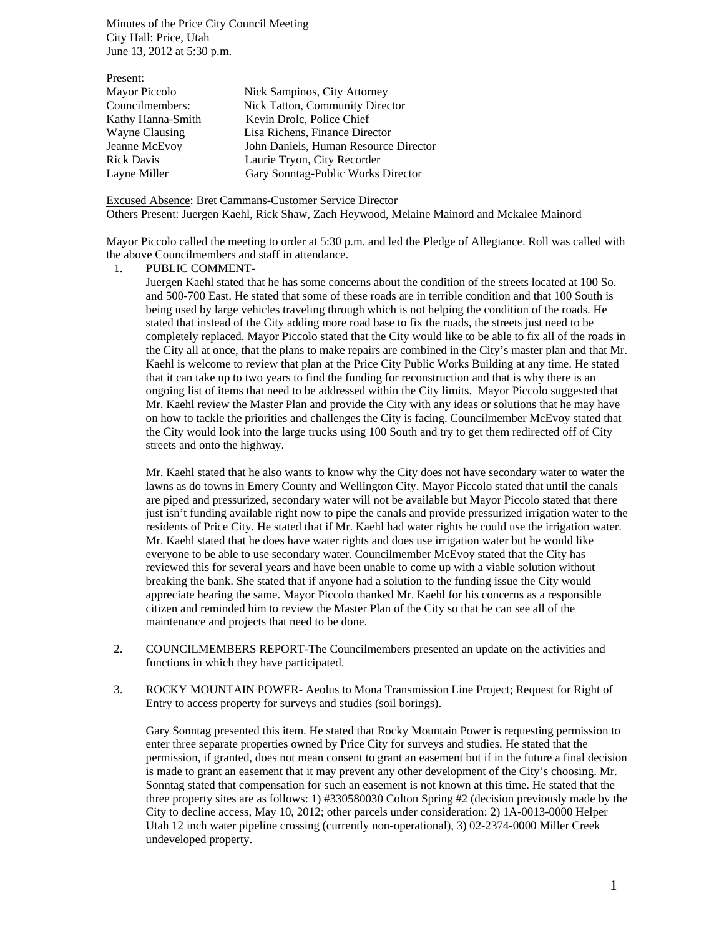Minutes of the Price City Council Meeting City Hall: Price, Utah June 13, 2012 at 5:30 p.m.

| Present:          |                                       |
|-------------------|---------------------------------------|
| Mayor Piccolo     | Nick Sampinos, City Attorney          |
| Councilmembers:   | Nick Tatton, Community Director       |
| Kathy Hanna-Smith | Kevin Drolc, Police Chief             |
| Wayne Clausing    | Lisa Richens, Finance Director        |
| Jeanne McEvoy     | John Daniels, Human Resource Director |
| <b>Rick Davis</b> | Laurie Tryon, City Recorder           |
| Layne Miller      | Gary Sonntag-Public Works Director    |
|                   |                                       |

Excused Absence: Bret Cammans-Customer Service Director Others Present: Juergen Kaehl, Rick Shaw, Zach Heywood, Melaine Mainord and Mckalee Mainord

Mayor Piccolo called the meeting to order at 5:30 p.m. and led the Pledge of Allegiance. Roll was called with the above Councilmembers and staff in attendance.

1. PUBLIC COMMENT-

Juergen Kaehl stated that he has some concerns about the condition of the streets located at 100 So. and 500-700 East. He stated that some of these roads are in terrible condition and that 100 South is being used by large vehicles traveling through which is not helping the condition of the roads. He stated that instead of the City adding more road base to fix the roads, the streets just need to be completely replaced. Mayor Piccolo stated that the City would like to be able to fix all of the roads in the City all at once, that the plans to make repairs are combined in the City's master plan and that Mr. Kaehl is welcome to review that plan at the Price City Public Works Building at any time. He stated that it can take up to two years to find the funding for reconstruction and that is why there is an ongoing list of items that need to be addressed within the City limits. Mayor Piccolo suggested that Mr. Kaehl review the Master Plan and provide the City with any ideas or solutions that he may have on how to tackle the priorities and challenges the City is facing. Councilmember McEvoy stated that the City would look into the large trucks using 100 South and try to get them redirected off of City streets and onto the highway.

Mr. Kaehl stated that he also wants to know why the City does not have secondary water to water the lawns as do towns in Emery County and Wellington City. Mayor Piccolo stated that until the canals are piped and pressurized, secondary water will not be available but Mayor Piccolo stated that there just isn't funding available right now to pipe the canals and provide pressurized irrigation water to the residents of Price City. He stated that if Mr. Kaehl had water rights he could use the irrigation water. Mr. Kaehl stated that he does have water rights and does use irrigation water but he would like everyone to be able to use secondary water. Councilmember McEvoy stated that the City has reviewed this for several years and have been unable to come up with a viable solution without breaking the bank. She stated that if anyone had a solution to the funding issue the City would appreciate hearing the same. Mayor Piccolo thanked Mr. Kaehl for his concerns as a responsible citizen and reminded him to review the Master Plan of the City so that he can see all of the maintenance and projects that need to be done.

- 2. COUNCILMEMBERS REPORT-The Councilmembers presented an update on the activities and functions in which they have participated.
- 3. ROCKY MOUNTAIN POWER- Aeolus to Mona Transmission Line Project; Request for Right of Entry to access property for surveys and studies (soil borings).

Gary Sonntag presented this item. He stated that Rocky Mountain Power is requesting permission to enter three separate properties owned by Price City for surveys and studies. He stated that the permission, if granted, does not mean consent to grant an easement but if in the future a final decision is made to grant an easement that it may prevent any other development of the City's choosing. Mr. Sonntag stated that compensation for such an easement is not known at this time. He stated that the three property sites are as follows: 1) #330580030 Colton Spring #2 (decision previously made by the City to decline access, May 10, 2012; other parcels under consideration: 2) 1A-0013-0000 Helper Utah 12 inch water pipeline crossing (currently non-operational), 3) 02-2374-0000 Miller Creek undeveloped property.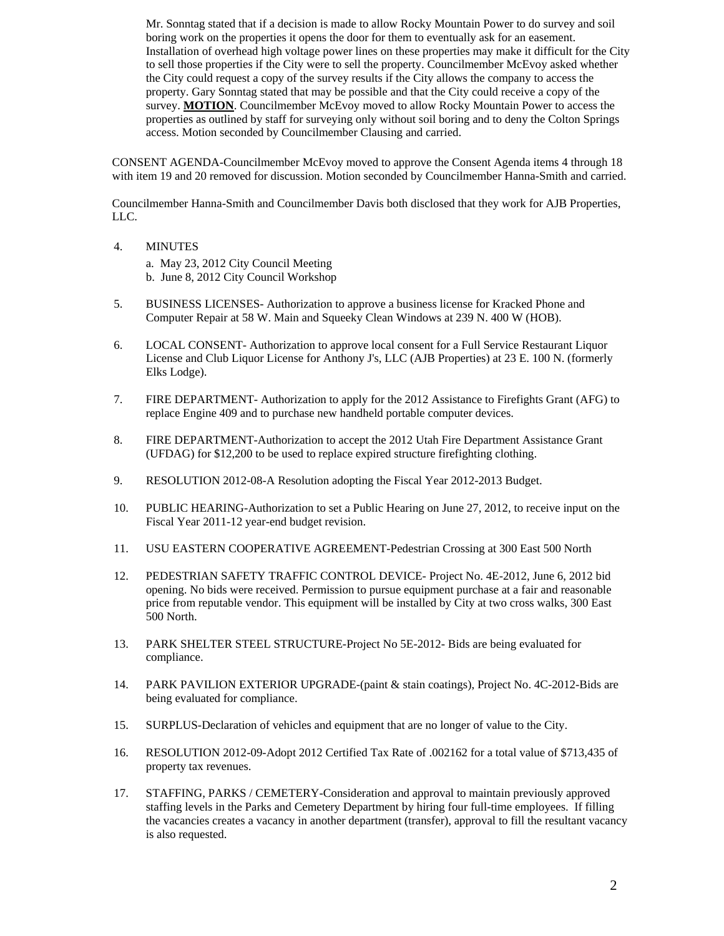Mr. Sonntag stated that if a decision is made to allow Rocky Mountain Power to do survey and soil boring work on the properties it opens the door for them to eventually ask for an easement. Installation of overhead high voltage power lines on these properties may make it difficult for the City to sell those properties if the City were to sell the property. Councilmember McEvoy asked whether the City could request a copy of the survey results if the City allows the company to access the property. Gary Sonntag stated that may be possible and that the City could receive a copy of the survey. **MOTION**. Councilmember McEvoy moved to allow Rocky Mountain Power to access the properties as outlined by staff for surveying only without soil boring and to deny the Colton Springs access. Motion seconded by Councilmember Clausing and carried.

CONSENT AGENDA-Councilmember McEvoy moved to approve the Consent Agenda items 4 through 18 with item 19 and 20 removed for discussion. Motion seconded by Councilmember Hanna-Smith and carried.

Councilmember Hanna-Smith and Councilmember Davis both disclosed that they work for AJB Properties, LLC.

4. MINUTES

a. May 23, 2012 City Council Meeting b. June 8, 2012 City Council Workshop

- 5. BUSINESS LICENSES- Authorization to approve a business license for Kracked Phone and Computer Repair at 58 W. Main and Squeeky Clean Windows at 239 N. 400 W (HOB).
- 6. LOCAL CONSENT- Authorization to approve local consent for a Full Service Restaurant Liquor License and Club Liquor License for Anthony J's, LLC (AJB Properties) at 23 E. 100 N. (formerly Elks Lodge).
- 7. FIRE DEPARTMENT- Authorization to apply for the 2012 Assistance to Firefights Grant (AFG) to replace Engine 409 and to purchase new handheld portable computer devices.
- 8. FIRE DEPARTMENT-Authorization to accept the 2012 Utah Fire Department Assistance Grant (UFDAG) for \$12,200 to be used to replace expired structure firefighting clothing.
- 9. RESOLUTION 2012-08-A Resolution adopting the Fiscal Year 2012-2013 Budget.
- 10. PUBLIC HEARING-Authorization to set a Public Hearing on June 27, 2012, to receive input on the Fiscal Year 2011-12 year-end budget revision.
- 11. USU EASTERN COOPERATIVE AGREEMENT-Pedestrian Crossing at 300 East 500 North
- 12. PEDESTRIAN SAFETY TRAFFIC CONTROL DEVICE- Project No. 4E-2012, June 6, 2012 bid opening. No bids were received. Permission to pursue equipment purchase at a fair and reasonable price from reputable vendor. This equipment will be installed by City at two cross walks, 300 East 500 North.
- 13. PARK SHELTER STEEL STRUCTURE-Project No 5E-2012- Bids are being evaluated for compliance.
- 14. PARK PAVILION EXTERIOR UPGRADE-(paint & stain coatings), Project No. 4C-2012-Bids are being evaluated for compliance.
- 15. SURPLUS-Declaration of vehicles and equipment that are no longer of value to the City.
- 16. RESOLUTION 2012-09-Adopt 2012 Certified Tax Rate of .002162 for a total value of \$713,435 of property tax revenues.
- 17. STAFFING, PARKS / CEMETERY-Consideration and approval to maintain previously approved staffing levels in the Parks and Cemetery Department by hiring four full-time employees. If filling the vacancies creates a vacancy in another department (transfer), approval to fill the resultant vacancy is also requested.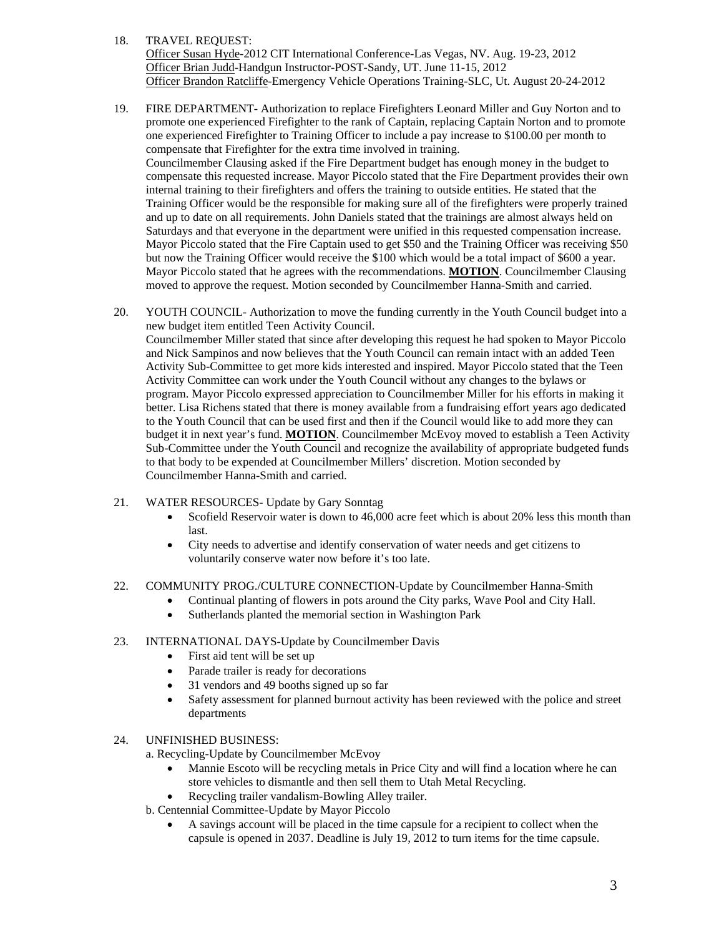18. TRAVEL REQUEST:

Officer Susan Hyde-2012 CIT International Conference-Las Vegas, NV. Aug. 19-23, 2012 Officer Brian Judd-Handgun Instructor-POST-Sandy, UT. June 11-15, 2012 Officer Brandon Ratcliffe-Emergency Vehicle Operations Training-SLC, Ut. August 20-24-2012

- 19. FIRE DEPARTMENT- Authorization to replace Firefighters Leonard Miller and Guy Norton and to promote one experienced Firefighter to the rank of Captain, replacing Captain Norton and to promote one experienced Firefighter to Training Officer to include a pay increase to \$100.00 per month to compensate that Firefighter for the extra time involved in training. Councilmember Clausing asked if the Fire Department budget has enough money in the budget to compensate this requested increase. Mayor Piccolo stated that the Fire Department provides their own internal training to their firefighters and offers the training to outside entities. He stated that the Training Officer would be the responsible for making sure all of the firefighters were properly trained and up to date on all requirements. John Daniels stated that the trainings are almost always held on Saturdays and that everyone in the department were unified in this requested compensation increase. Mayor Piccolo stated that the Fire Captain used to get \$50 and the Training Officer was receiving \$50 but now the Training Officer would receive the \$100 which would be a total impact of \$600 a year. Mayor Piccolo stated that he agrees with the recommendations. **MOTION**. Councilmember Clausing moved to approve the request. Motion seconded by Councilmember Hanna-Smith and carried.
- 20. YOUTH COUNCIL- Authorization to move the funding currently in the Youth Council budget into a new budget item entitled Teen Activity Council. Councilmember Miller stated that since after developing this request he had spoken to Mayor Piccolo and Nick Sampinos and now believes that the Youth Council can remain intact with an added Teen Activity Sub-Committee to get more kids interested and inspired. Mayor Piccolo stated that the Teen Activity Committee can work under the Youth Council without any changes to the bylaws or program. Mayor Piccolo expressed appreciation to Councilmember Miller for his efforts in making it better. Lisa Richens stated that there is money available from a fundraising effort years ago dedicated to the Youth Council that can be used first and then if the Council would like to add more they can budget it in next year's fund. **MOTION**. Councilmember McEvoy moved to establish a Teen Activity Sub-Committee under the Youth Council and recognize the availability of appropriate budgeted funds to that body to be expended at Councilmember Millers' discretion. Motion seconded by Councilmember Hanna-Smith and carried.
- 21. WATER RESOURCES- Update by Gary Sonntag
	- Scofield Reservoir water is down to 46,000 acre feet which is about 20% less this month than last.
	- City needs to advertise and identify conservation of water needs and get citizens to voluntarily conserve water now before it's too late.
- 22. COMMUNITY PROG./CULTURE CONNECTION-Update by Councilmember Hanna-Smith
	- Continual planting of flowers in pots around the City parks, Wave Pool and City Hall.
		- Sutherlands planted the memorial section in Washington Park
- 23. INTERNATIONAL DAYS-Update by Councilmember Davis
	- First aid tent will be set up
	- Parade trailer is ready for decorations
	- 31 vendors and 49 booths signed up so far
	- Safety assessment for planned burnout activity has been reviewed with the police and street departments
- 24. UNFINISHED BUSINESS:
	- a. Recycling-Update by Councilmember McEvoy
		- Mannie Escoto will be recycling metals in Price City and will find a location where he can store vehicles to dismantle and then sell them to Utah Metal Recycling.
	- Recycling trailer vandalism-Bowling Alley trailer.
	- b. Centennial Committee-Update by Mayor Piccolo
		- A savings account will be placed in the time capsule for a recipient to collect when the capsule is opened in 2037. Deadline is July 19, 2012 to turn items for the time capsule.